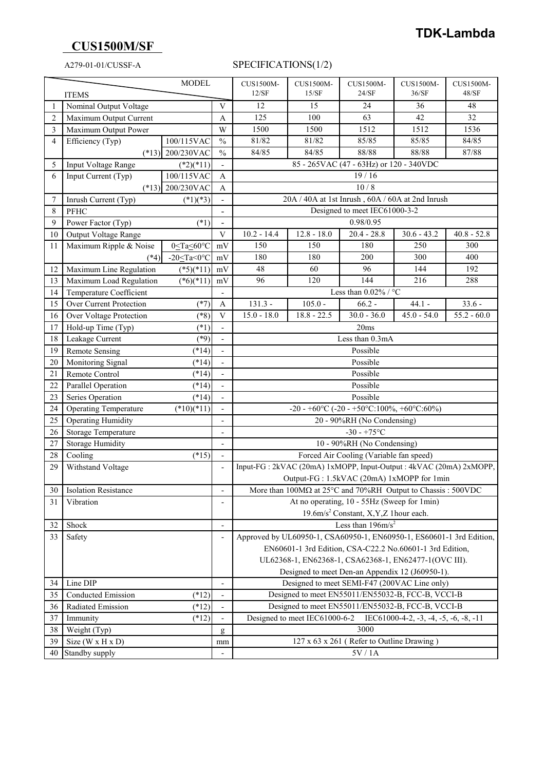## **CUS1500M/SF**

## A279-01-01/CUSSF-A SPECIFICATIONS(1/2)

| <b>MODEL</b>   |                                       |                                                                   |                         | <b>CUS1500M-</b>                                                                        | CUS1500M-     | CUS1500M-                               | CUS1500M-     | <b>CUS1500M-</b>         |
|----------------|---------------------------------------|-------------------------------------------------------------------|-------------------------|-----------------------------------------------------------------------------------------|---------------|-----------------------------------------|---------------|--------------------------|
| <b>ITEMS</b>   |                                       |                                                                   |                         | 12/SF                                                                                   | 15/SF         | 24/SF                                   | 36/SF         | 48/SF                    |
|                | Nominal Output Voltage                |                                                                   |                         | 12                                                                                      | 15            | 24                                      | 36            | 48                       |
| $\overline{2}$ | Maximum Output Current                |                                                                   |                         | 125                                                                                     | 100           | 63                                      | 42            | 32                       |
| 3              | Maximum Output Power                  |                                                                   | W                       | 1500                                                                                    | 1500          | 1512                                    | 1512          | 1536                     |
| $\overline{4}$ | Efficiency (Typ)                      | 100/115VAC                                                        | $\frac{0}{0}$           | 81/82                                                                                   | 81/82         | 85/85                                   | 85/85         | 84/85                    |
|                | $(*13)$                               | 200/230VAC                                                        | $\frac{0}{0}$           | 84/85                                                                                   | 84/85         | 88/88                                   | 88/88         | 87/88                    |
| 5              | Input Voltage Range                   | $(*2)(*11)$                                                       |                         |                                                                                         |               | 85 - 265VAC (47 - 63Hz) or 120 - 340VDC |               |                          |
| 6              | Input Current (Typ)                   | 100/115VAC                                                        | A                       |                                                                                         |               | 19/16                                   |               |                          |
|                | 200/230VAC<br>$(*13)$                 |                                                                   | A                       | 10/8                                                                                    |               |                                         |               |                          |
| 7              | Inrush Current (Typ)<br>$(*1)(*3)$    |                                                                   |                         | 20A / 40A at 1st Inrush, 60A / 60A at 2nd Inrush                                        |               |                                         |               |                          |
| 8              | PFHC                                  |                                                                   |                         | Designed to meet IEC61000-3-2                                                           |               |                                         |               |                          |
| 9              | Power Factor (Typ)<br>$(*1)$          |                                                                   | $\overline{a}$          | 0.98/0.95                                                                               |               |                                         |               |                          |
| 10             | Output Voltage Range                  |                                                                   | $\overline{\mathbf{V}}$ | $10.2 - 14.4$                                                                           | $12.8 - 18.0$ | $20.4 - 28.8$                           | $30.6 - 43.2$ | $40.8 - 52.8$            |
| 11             | Maximum Ripple & Noise                | 0≤Ta≤60°C                                                         | mV                      | 150                                                                                     | 150           | 180                                     | 250           | 300                      |
|                | $(*4)$                                | -20 $\leq$ Ta<0 $\degree$ C                                       | mV                      | 180                                                                                     | 180           | 200                                     | 300           | 400                      |
| 12             | Maximum Line Regulation               | $(*5)(*11)$                                                       | mV                      | 48                                                                                      | 60            | 96                                      | 144           | 192                      |
| 13             | Maximum Load Regulation               | $(*6)(*11)$                                                       | mV                      | 96                                                                                      | 120           | 144                                     | 216           | 288                      |
| 14             | Temperature Coefficient               |                                                                   |                         | Less than 0.02% / $^{\circ}$ C                                                          |               |                                         |               |                          |
| 15             | Over Current Protection               | $(*7)$                                                            | A                       | $131.3 -$                                                                               | $105.0 -$     | $66.2 -$                                | $44.1 -$      | $33.6 -$                 |
| 16             | Over Voltage Protection               | $(*8)$                                                            | V                       | $15.0 - 18.0$                                                                           | $18.8 - 22.5$ | $30.0 - 36.0$                           | $45.0 - 54.0$ | $\overline{55.2}$ - 60.0 |
| 17             | Hold-up Time (Typ)                    | $(*1)$                                                            |                         | 20ms                                                                                    |               |                                         |               |                          |
| 18             | Leakage Current                       | $(*9)$                                                            |                         | Less than 0.3mA                                                                         |               |                                         |               |                          |
| 19             | <b>Remote Sensing</b>                 | $(*14)$                                                           |                         | Possible                                                                                |               |                                         |               |                          |
| 20             | Monitoring Signal                     | $(*14)$                                                           |                         | Possible                                                                                |               |                                         |               |                          |
| 21             | Remote Control                        | $(*14)$                                                           |                         | Possible                                                                                |               |                                         |               |                          |
| 22             | Parallel Operation                    | $(*14)$                                                           |                         | Possible                                                                                |               |                                         |               |                          |
| 23             | Series Operation                      | $(*14)$                                                           |                         | Possible                                                                                |               |                                         |               |                          |
| 24             | <b>Operating Temperature</b>          | $(*10)(*11)$                                                      |                         | -20 - +60°C (-20 - +50°C:100%, +60°C:60%)                                               |               |                                         |               |                          |
| 25             | <b>Operating Humidity</b>             |                                                                   |                         | 20 - 90%RH (No Condensing)                                                              |               |                                         |               |                          |
| 26             | Storage Temperature                   |                                                                   |                         | $-30 - +75$ °C                                                                          |               |                                         |               |                          |
| 27             | <b>Storage Humidity</b>               |                                                                   |                         | 10 - 90%RH (No Condensing)                                                              |               |                                         |               |                          |
| 28             | Cooling<br>$(*15)$                    |                                                                   |                         | Forced Air Cooling (Variable fan speed)                                                 |               |                                         |               |                          |
| 29             | Withstand Voltage                     | Input-FG: 2kVAC (20mA) 1xMOPP, Input-Output: 4kVAC (20mA) 2xMOPP, |                         |                                                                                         |               |                                         |               |                          |
|                |                                       |                                                                   |                         | Output-FG: 1.5kVAC (20mA) 1xMOPP for 1min                                               |               |                                         |               |                          |
| 30             | Isolation Resistance                  |                                                                   |                         | More than $100M\Omega$ at $25^{\circ}$ C and $70\%$ RH Output to Chassis: $500VDC$      |               |                                         |               |                          |
| 31             | Vibration                             |                                                                   |                         | At no operating, 10 - 55Hz (Sweep for 1min)                                             |               |                                         |               |                          |
|                |                                       |                                                                   |                         | 19.6m/s <sup>2</sup> Constant, X, Y, Z 1 hour each.                                     |               |                                         |               |                          |
| 32             | Shock                                 |                                                                   |                         | Less than $196 \text{m/s}^2$                                                            |               |                                         |               |                          |
| 33             | Safety<br>$\overline{a}$              |                                                                   |                         | Approved by UL60950-1, CSA60950-1, EN60950-1, ES60601-1 3rd Edition,                    |               |                                         |               |                          |
|                |                                       |                                                                   |                         | EN60601-1 3rd Edition, CSA-C22.2 No.60601-1 3rd Edition,                                |               |                                         |               |                          |
|                |                                       |                                                                   |                         | UL62368-1, EN62368-1, CSA62368-1, EN62477-1(OVC III).                                   |               |                                         |               |                          |
|                |                                       |                                                                   |                         | Designed to meet Den-an Appendix 12 (J60950-1).                                         |               |                                         |               |                          |
| 34             | Line DIP                              |                                                                   | $\overline{a}$          | Designed to meet SEMI-F47 (200VAC Line only)                                            |               |                                         |               |                          |
| 35             | Conducted Emission                    | $(*12)$                                                           | $\qquad \qquad -$       | Designed to meet EN55011/EN55032-B, FCC-B, VCCI-B                                       |               |                                         |               |                          |
| 36             | Radiated Emission                     | $(*12)$                                                           |                         | Designed to meet EN55011/EN55032-B, FCC-B, VCCI-B                                       |               |                                         |               |                          |
| 37             | Immunity<br>$(*12)$<br>$\overline{a}$ |                                                                   |                         | Designed to meet IEC61000-6-2<br>IEC61000-4-2, $-3$ , $-4$ , $-5$ , $-6$ , $-8$ , $-11$ |               |                                         |               |                          |
| $38\,$         | Weight (Typ)                          | $\mathbf{g}$                                                      | 3000                    |                                                                                         |               |                                         |               |                          |
| 39             | Size ( $W \times H \times D$ )        |                                                                   |                         | 127 x 63 x 261 (Refer to Outline Drawing)                                               |               |                                         |               |                          |
| 40             | Standby supply                        |                                                                   |                         | 5V / 1A                                                                                 |               |                                         |               |                          |